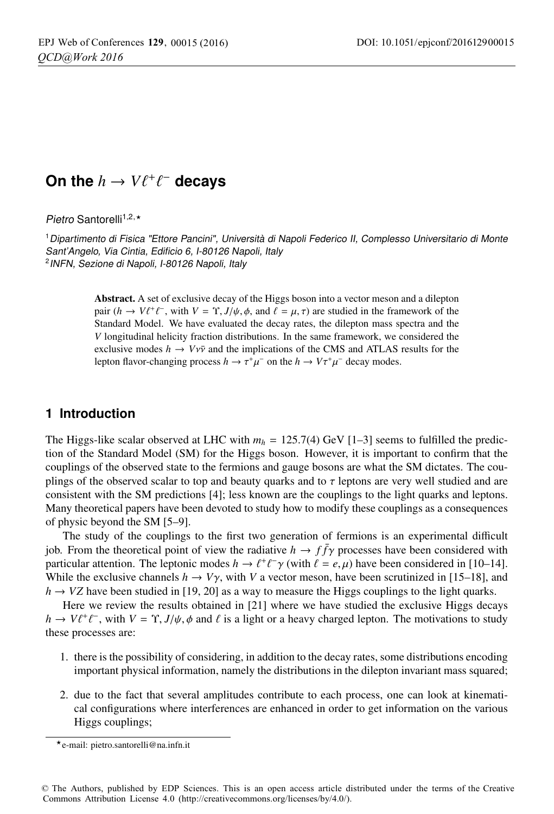# On the  $h \to V \ell^+ \ell^-$  decays

Pietro Santorelli<sup>1,2,\*</sup>

<sup>1</sup>Dipartimento di Fisica "Ettore Pancini", Università di Napoli Federico II, Complesso Universitario di Monte Sant'Angelo, Via Cintia, Edificio 6, I-80126 Napoli, Italy <sup>2</sup>INFN, Sezione di Napoli, I-80126 Napoli, Italy

> Abstract. A set of exclusive decay of the Higgs boson into a vector meson and a dilepton pair  $(h \to V\ell^+\ell^-$ , with  $V = \Upsilon$ ,  $J/\psi$ ,  $\phi$ , and  $\ell = \mu$ ,  $\tau$ ) are studied in the framework of the Standard Model. We have evaluated the decay rates, the dilenton mass spectra and the Standard Model. We have evaluated the decay rates, the dilepton mass spectra and the *V* longitudinal helicity fraction distributions. In the same framework, we considered the exclusive modes  $h \to Vv\bar{v}$  and the implications of the CMS and ATLAS results for the lepton flavor-changing process  $h \to \tau^+\mu^-$  on the  $h \to V\tau^+\mu^-$  decay modes.

## **1 Introduction**

The Higgs-like scalar observed at LHC with  $m_h = 125.7(4)$  GeV [1–3] seems to fulfilled the prediction of the Standard Model (SM) for the Higgs boson. However, it is important to confirm that the couplings of the observed state to the fermions and gauge bosons are what the SM dictates. The couplings of the observed scalar to top and beauty quarks and to  $\tau$  leptons are very well studied and are consistent with the SM predictions [4]; less known are the couplings to the light quarks and leptons. Many theoretical papers have been devoted to study how to modify these couplings as a consequences of physic beyond the SM [5–9].

The study of the couplings to the first two generation of fermions is an experimental difficult job. From the theoretical point of view the radiative  $h \to f \bar{f} \gamma$  processes have been considered with particular attention. The leptonic modes  $h \to \ell^+ \ell^- \gamma$  (with  $\ell = e, \mu$ ) have been considered in [10–14].<br>While the exclusive channels  $h \to V\gamma$  with V a vector meson, have been scrutinized in [15–18], and While the exclusive channels  $h \to V\gamma$ , with *V* a vector meson, have been scrutinized in [15–18], and  $h \to V\gamma$  have been studied in [19–20] as a way to measure the Higgs couplings to the light quarks  $h \rightarrow VZ$  have been studied in [19, 20] as a way to measure the Higgs couplings to the light quarks.

Here we review the results obtained in [21] where we have studied the exclusive Higgs decays  $h \to V\ell^+\ell^-$ , with  $V = \Upsilon$ , *J*/ $\psi$ ,  $\phi$  and  $\ell$  is a light or a heavy charged lepton. The motivations to study these processes are: -these processes are:

- 1. there is the possibility of considering, in addition to the decay rates, some distributions encoding important physical information, namely the distributions in the dilepton invariant mass squared;
- 2. due to the fact that several amplitudes contribute to each process, one can look at kinematical configurations where interferences are enhanced in order to get information on the various Higgs couplings;

e-mail: pietro.santorelli@na.infn.it

<sup>©</sup> The Authors, published by EDP Sciences. This is an open access article distributed under the terms of the Creative Commons Attribution License 4.0 (http://creativecommons.org/licenses/by/4.0/).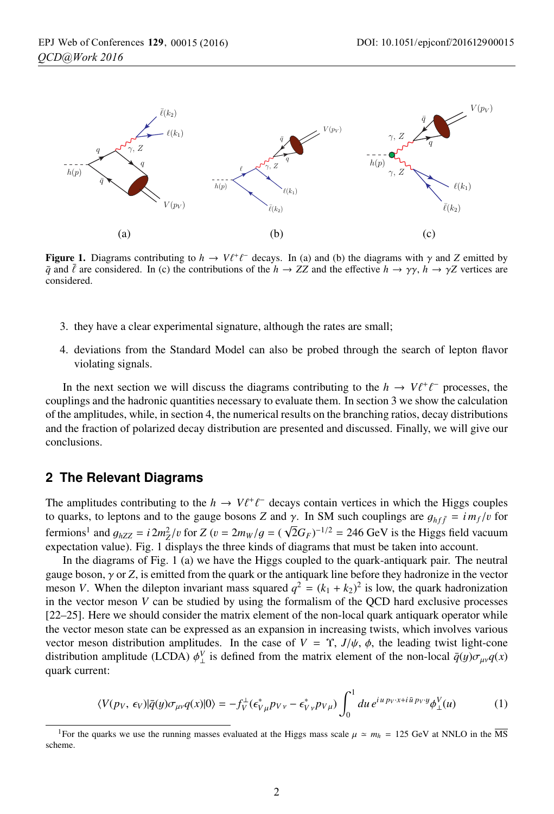

**Figure 1.** Diagrams contributing to  $h \to V\ell^+\ell^-$  decays. In (a) and (b) the diagrams with  $\gamma$  and *Z* emitted by  $\bar{a}$  and  $\bar{\ell}$  are considered. In (c) the contributions of the  $h \to ZZ$  and the effective  $h \to \gamma \gamma$ ,  $h$  $\bar{q}$  and  $\bar{l}$  are considered. In (c) the contributions of the  $h \to ZZ$  and the effective  $h \to \gamma \gamma$ ,  $h \to \gamma Z$  vertices are considered. -considered.

- 3. they have a clear experimental signature, although the rates are small;
- 4. deviations from the Standard Model can also be probed through the search of lepton flavor violating signals.

In the next section we will discuss the diagrams contributing to the  $h \to V \ell^+ \ell^-$  processes, the plus and the hadronic quantities necessary to evaluate them In section 3 we show the calculation couplings and the hadronic quantities necessary to evaluate them. In section 3 we show the calculation of the amplitudes, while, in section 4, the numerical results on the branching ratios, decay distributions and the fraction of polarized decay distribution are presented and discussed. Finally, we will give our conclusions.

#### **2 The Relevant Diagrams**

The amplitudes contributing to the  $h \to V \ell^+ \ell^-$  decays contain vertices in which the Higgs couples to quarks to lentons and to the gauge bosons Z and  $\gamma$ . In SM such couplings are  $a_{\gamma+1} = im \ell \ln$  for to quarks, to leptons and to the gauge bosons *Z* and *γ*. In SM such couplings are  $g_{hf\bar{f}} = i m_f/v$  for forming and  $g_{hf\bar{f}} = i m_f/v$  for forming and  $g_{hf\bar{f}} = i m_f/v$  for forming and  $g_{hf\bar{f}} = i m_f/v$  for forming and  $g_{hf\bar{f}}$ fermions<sup>1</sup> and  $g_{hZZ} = i 2m_Z^2/v$  for  $Z(v = 2m_W/g = (\sqrt{2}G_F)^{-1/2} = 246$  GeV is the Higgs field vacuum<br>expectation value). Fig. 1 displays the three kinds of diagrams that must be taken into account expectation value). Fig. 1 displays the three kinds of diagrams that must be taken into account.

In the diagrams of Fig. 1 (a) we have the Higgs coupled to the quark-antiquark pair. The neutral gauge boson, γ or *<sup>Z</sup>*, is emitted from the quark or the antiquark line before they hadronize in the vector meson *V*. When the dilepton invariant mass squared  $q^2 = (k_1 + k_2)^2$  is low, the quark hadronization in the vector meson *V* can be studied by using the formalism of the QCD hard exclusive processes [22–25]. Here we should consider the matrix element of the non-local quark antiquark operator while the vector meson state can be expressed as an expansion in increasing twists, which involves various vector meson distribution amplitudes. In the case of  $V = \Upsilon$ ,  $J/\psi$ ,  $\phi$ , the leading twist light-cone distribution amplitude (LCDA)  $\phi^V_{\perp}$  is defined from the matrix element of the non-local  $\bar{q}(y)\sigma_{\mu\nu}q(x)$ quark current:

$$
\langle V(p_V, \epsilon_V) | \bar{q}(y) \sigma_{\mu\nu} q(x) | 0 \rangle = -f_V^{\perp} (\epsilon_{V\mu}^* p_{V\nu} - \epsilon_{V\nu}^* p_{V\mu}) \int_0^1 du \, e^{i u p_V \cdot x + i \bar{u} p_V \cdot y} \phi_{\perp}^V(u) \tag{1}
$$

<sup>&</sup>lt;sup>1</sup>For the quarks we use the running masses evaluated at the Higgs mass scale  $\mu \approx m_h = 125 \text{ GeV}$  at NNLO in the  $\overline{\text{MS}}$ scheme.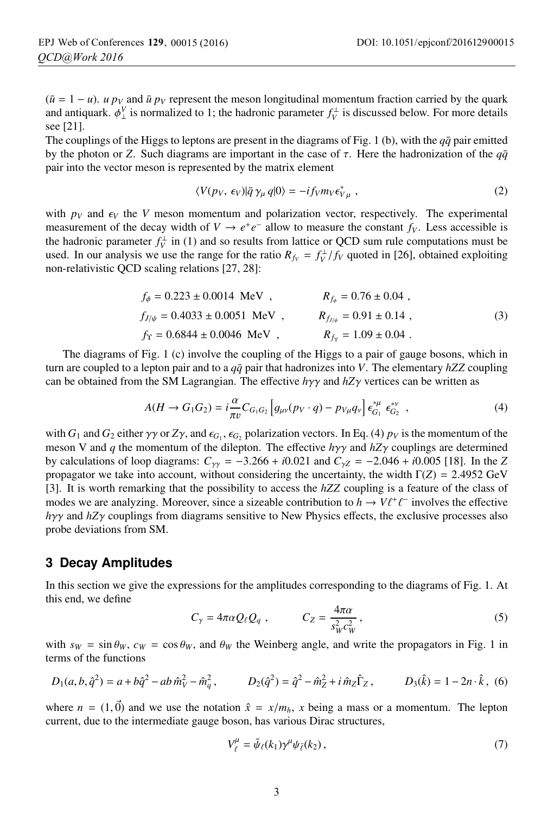$(\bar{u} = 1 - u)$ . *u*  $p_V$  and  $\bar{u} p_V$  represent the meson longitudinal momentum fraction carried by the quark and antiquark.  $\phi_{\perp}^{V}$  is normalized to 1; the hadronic parameter  $f_{V}^{\perp}$  is discussed below. For more details see [21] see [21].

The couplings of the Higgs to leptons are present in the diagrams of Fig. 1 (b), with the  $q\bar{q}$  pair emitted by the photon or *Z*. Such diagrams are important in the case of  $\tau$ . Here the hadronization of the  $q\bar{q}$ pair into the vector meson is represented by the matrix element

$$
\langle V(p_V, \epsilon_V) | \bar{q} \gamma_\mu q | 0 \rangle = -i f_V m_V \epsilon_{V\mu}^* \,, \tag{2}
$$

with  $p_V$  and  $\epsilon_V$  the *V* meson momentum and polarization vector, respectively. The experimental<br>measurement of the decay width of  $V \rightarrow e^+e^-$  allow to measure the constant  $f_V$ . Less accessible is measurement of the decay width of  $V \to e^+e^-$  allow to measure the constant  $f_V$ . Less accessible is the hadronic parameter  $f_V^{\perp}$  in (1) and so results from lattice or QCD sum rule computations must be used. In our analysis we use the range for the ratio  $R_{fv} = f_V^{\perp}/f_V$  quoted in [26], obtained exploiting non-relativistic OCD scaling relations [27, 28] non-relativistic QCD scaling relations [27, 28]:

$$
f_{\phi} = 0.223 \pm 0.0014 \text{ MeV} , \qquad R_{f_{\phi}} = 0.76 \pm 0.04 ,
$$
  
\n
$$
f_{J/\psi} = 0.4033 \pm 0.0051 \text{ MeV} , \qquad R_{f_{J/\psi}} = 0.91 \pm 0.14 ,
$$
  
\n
$$
f_{\Upsilon} = 0.6844 \pm 0.0046 \text{ MeV} , \qquad R_{f_{\Upsilon}} = 1.09 \pm 0.04 .
$$
  
\n(3)

The diagrams of Fig. 1 (c) involve the coupling of the Higgs to a pair of gauge bosons, which in turn are coupled to a lepton pair and to a *qq*¯ pair that hadronizes into *V*. The elementary *hZZ* coupling can be obtained from the SM Lagrangian. The effective *<sup>h</sup>*γγ and *hZ*γ vertices can be written as

$$
A(H \to G_1 G_2) = i \frac{\alpha}{\pi v} C_{G_1 G_2} \left[ g_{\mu\nu} (p_V \cdot q) - p_{V\mu} q_V \right] \epsilon_{G_1}^{*\mu} \epsilon_{G_2}^{*\nu} , \tag{4}
$$

with  $G_1$  and  $G_2$  either  $\gamma \gamma$  or  $Z\gamma$ , and  $\epsilon_{G_1}$ ,  $\epsilon_{G_2}$  polarization vectors. In Eq. (4)  $p_V$  is the momentum of the momentum of the dilepton. The effective *hy* and  $hZ\gamma$  couplings are determined meson V and *<sup>q</sup>* the momentum of the dilepton. The effective *<sup>h</sup>*γγ and *hZ*γ couplings are determined by calculations of loop diagrams:  $C_{\gamma\gamma} = -3.266 + i0.021$  and  $C_{\gamma Z} = -2.046 + i0.005$  [18]. In the *Z* propagator we take into account, without considering the uncertainty, the width  $\Gamma(Z) = 2.4952$  GeV [3]. It is worth remarking that the possibility to access the *hZZ* coupling is a feature of the class of modes we are analyzing. Moreover, since a sizeable contribution to  $h \to V \ell^+ \ell^-$  involves the effective have and  $hZx$  countings from diagrams sensitive to New Physics effects, the exclusive processes also *hγγ* and *hZγ* couplings from diagrams sensitive to New Physics effects, the exclusive processes also probe deviations from SM probe deviations from SM.

# **3 Decay Amplitudes**

In this section we give the expressions for the amplitudes corresponding to the diagrams of Fig. 1. At this end, we define

$$
C_{\gamma} = 4\pi \alpha Q_{\ell} Q_q , \qquad C_Z = \frac{4\pi \alpha}{s_W^2 c_W^2} , \qquad (5)
$$

with  $s_W = \sin \theta_W$ ,  $c_W = \cos \theta_W$ , and  $\theta_W$  the Weinberg angle, and write the propagators in Fig. 1 in terms of the functions

$$
D_1(a, b, \hat{q}^2) = a + b\hat{q}^2 - ab \,\hat{m}_V^2 - \hat{m}_q^2, \qquad D_2(\hat{q}^2) = \hat{q}^2 - \hat{m}_Z^2 + i \,\hat{m}_Z \hat{\Gamma}_Z, \qquad D_3(\hat{k}) = 1 - 2n \cdot \hat{k}, \tag{6}
$$

where  $n = (1, \vec{0})$  and we use the notation  $\hat{x} = x/m_h$ , *x* being a mass or a momentum. The lepton current due to the intermediate gauge boson, has various Dirac structures current, due to the intermediate gauge boson, has various Dirac structures,

$$
V_{\ell}^{\mu} = \bar{\psi}_{\ell}(k_1) \gamma^{\mu} \psi_{\bar{\ell}}(k_2), \qquad (7)
$$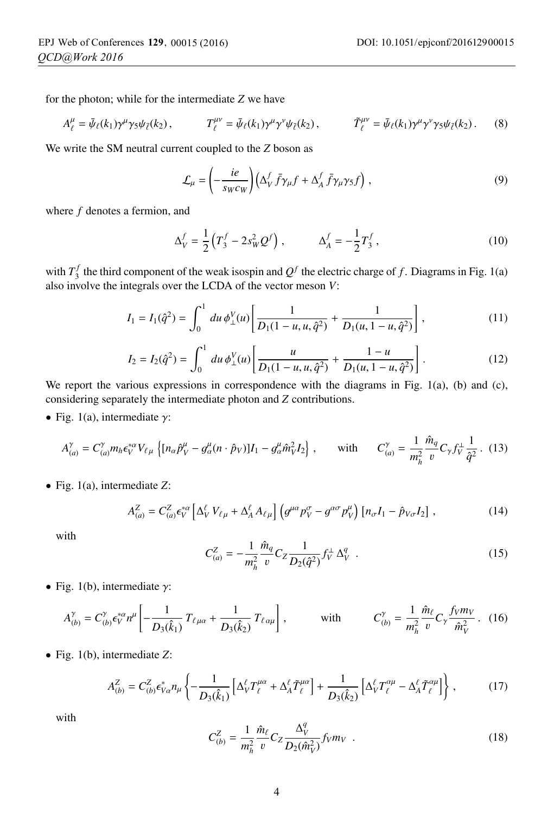for the photon; while for the intermediate *Z* we have

$$
A_{\ell}^{\mu} = \bar{\psi}_{\ell}(k_1) \gamma^{\mu} \gamma_5 \psi_{\bar{\ell}}(k_2), \qquad T_{\ell}^{\mu\nu} = \bar{\psi}_{\ell}(k_1) \gamma^{\mu} \gamma^{\nu} \psi_{\bar{\ell}}(k_2), \qquad \tilde{T}_{\ell}^{\mu\nu} = \bar{\psi}_{\ell}(k_1) \gamma^{\mu} \gamma^{\nu} \gamma_5 \psi_{\bar{\ell}}(k_2). \qquad (8)
$$

We write the SM neutral current coupled to the *Z* boson as

$$
\mathcal{L}_{\mu} = \left( -\frac{ie}{s_W c_W} \right) \left( \Delta_V^f \bar{f} \gamma_{\mu} f + \Delta_A^f \bar{f} \gamma_{\mu} \gamma_5 f \right), \tag{9}
$$

where *f* denotes a fermion, and

$$
\Delta_V^f = \frac{1}{2} \left( T_3^f - 2s_W^2 Q^f \right), \qquad \Delta_A^f = -\frac{1}{2} T_3^f, \qquad (10)
$$

with  $T_3^f$  the third component of the weak isospin and  $Q^f$  the electric charge of *f*. Diagrams in Fig. 1(a) also involve the integrals over the LCDA of the vector meson *V*:

$$
I_1 = I_1(\hat{q}^2) = \int_0^1 du \, \phi_{\perp}^V(u) \left[ \frac{1}{D_1(1 - u, u, \hat{q}^2)} + \frac{1}{D_1(u, 1 - u, \hat{q}^2)} \right],\tag{11}
$$

$$
I_2 = I_2(\hat{q}^2) = \int_0^1 du \, \phi_{\perp}^V(u) \left[ \frac{u}{D_1(1 - u, u, \hat{q}^2)} + \frac{1 - u}{D_1(u, 1 - u, \hat{q}^2)} \right]. \tag{12}
$$

We report the various expressions in correspondence with the diagrams in Fig. 1(a), (b) and (c), considering separately the intermediate photon and *Z* contributions.

• Fig. 1(a), intermediate  $\gamma$ :

$$
A_{(a)}^{\gamma} = C_{(a)}^{\gamma} m_h \epsilon_V^{*\alpha} V_{\ell\mu} \left\{ [n_{\alpha} \hat{p}_V^{\mu} - g_{\alpha}^{\mu} (n \cdot \hat{p}_V)] I_1 - g_{\alpha}^{\mu} \hat{m}_V^2 I_2 \right\}, \quad \text{with} \quad C_{(a)}^{\gamma} = \frac{1}{m_h^2} \frac{\hat{m}_q}{v} C_{\gamma} f_V^{\perp} \frac{1}{\hat{q}^2} \,. \tag{13}
$$

• Fig. 1(a), intermediate *<sup>Z</sup>*:

$$
A_{(a)}^Z = C_{(a)}^Z \epsilon_V^{*\alpha} \left[ \Delta_V^{\ell} V_{\ell\mu} + \Delta_A^{\ell} A_{\ell\mu} \right] \left( g^{\mu\alpha} p_V^{\sigma} - g^{\alpha\sigma} p_V^{\mu} \right) \left[ n_{\sigma} I_1 - \hat{p}_{V\sigma} I_2 \right], \tag{14}
$$

with

$$
C_{(a)}^{Z} = -\frac{1}{m_h^2} \frac{\hat{m}_q}{v} C_Z \frac{1}{D_2(\hat{q}^2)} f_V^{\perp} \Delta_V^q
$$
 (15)

• Fig. 1(b), intermediate  $\gamma$ :

$$
A_{(b)}^{\gamma} = C_{(b)}^{\gamma} \epsilon_{V}^{*\alpha} n^{\mu} \left[ -\frac{1}{D_{3}(\hat{k}_{1})} T_{\ell \mu \alpha} + \frac{1}{D_{3}(\hat{k}_{2})} T_{\ell \alpha \mu} \right], \quad \text{with} \quad C_{(b)}^{\gamma} = \frac{1}{m_{h}^{2}} \frac{\hat{m}_{\ell}}{v} C_{\gamma} \frac{f_{V} m_{V}}{\hat{m}_{V}^{2}}. \quad (16)
$$

• Fig. 1(b), intermediate *<sup>Z</sup>*:

$$
A_{(b)}^Z = C_{(b)}^Z \epsilon_{V\alpha}^* n_\mu \left\{ -\frac{1}{D_3(\hat{k}_1)} \left[ \Delta_V^\ell T_\ell^{\mu\alpha} + \Delta_A^\ell \tilde{T}_\ell^{\mu\alpha} \right] + \frac{1}{D_3(\hat{k}_2)} \left[ \Delta_V^\ell T_\ell^{\alpha\mu} - \Delta_A^\ell \tilde{T}_\ell^{\alpha\mu} \right] \right\} \,,\tag{17}
$$

with

$$
C_{(b)}^{Z} = \frac{1}{m_h^2} \frac{\hat{m}_{\ell}}{v} C_Z \frac{\Delta_V^q}{D_2(\hat{m}_V^2)} f_V m_V \quad . \tag{18}
$$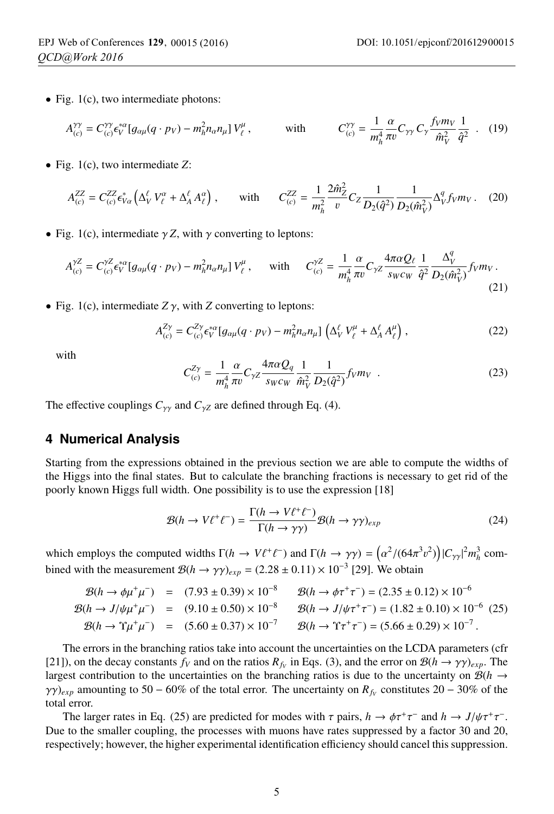• Fig. 1(c), two intermediate photons:

$$
A_{(c)}^{\gamma\gamma} = C_{(c)}^{\gamma\gamma} \epsilon_V^{*\alpha} \left[ g_{\alpha\mu} (q \cdot p_V) - m_h^2 n_\alpha n_\mu \right] V_\ell^\mu, \qquad \text{with} \qquad C_{(c)}^{\gamma\gamma} = \frac{1}{m_h^4} \frac{\alpha}{\pi v} C_{\gamma\gamma} C_\gamma \frac{f_V m_V}{\hat{m}_V^2} \frac{1}{\hat{q}^2} \quad . \tag{19}
$$

• Fig. 1(c), two intermediate *<sup>Z</sup>*:

$$
A_{(c)}^{ZZ} = C_{(c)}^{ZZ} \epsilon_{V\alpha}^* \left( \Delta_V^{\ell} V_{\ell}^{\alpha} + \Delta_A^{\ell} A_{\ell}^{\alpha} \right), \quad \text{with} \quad C_{(c)}^{ZZ} = \frac{1}{m_h^2} \frac{2 \hat{m}_Z^2}{v} C_Z \frac{1}{D_2(\hat{q}^2)} \frac{1}{D_2(\hat{m}_V^2)} \Delta_V^q f_V m_V. \quad (20)
$$

• Fig. 1(c), intermediate  $\gamma Z$ , with  $\gamma$  converting to leptons:

$$
A_{(c)}^{\gamma Z} = C_{(c)}^{\gamma Z} \epsilon_v^{* \alpha} [g_{\alpha \mu} (q \cdot p_V) - m_h^2 n_{\alpha} n_{\mu}] V_{\ell}^{\mu} , \quad \text{with} \quad C_{(c)}^{\gamma Z} = \frac{1}{m_h^4} \frac{\alpha}{\pi v} C_{\gamma Z} \frac{4 \pi \alpha Q_{\ell}}{s_W c_W} \frac{1}{\hat{q}^2} \frac{\Delta_V^q}{D_2(\hat{m}_V^2)} f_V m_V .
$$
\n(21)

• Fig. 1(c), intermediate  $Z\gamma$ , with *Z* converting to leptons:

$$
A_{(c)}^{Z\gamma} = C_{(c)}^{Z\gamma} \epsilon_V^{*\alpha} [g_{\alpha\mu}(q \cdot p_V) - m_h^2 n_\alpha n_\mu] \left( \Delta_V^\ell V_\ell^\mu + \Delta_A^\ell A_\ell^\mu \right), \qquad (22)
$$

with

$$
C_{(c)}^{Z\gamma} = \frac{1}{m_h^4} \frac{\alpha}{\pi v} C_{\gamma Z} \frac{4\pi \alpha Q_q}{s_W c_W} \frac{1}{\hat{m}_V^2} \frac{1}{D_2(\hat{q}^2)} f_V m_V \quad . \tag{23}
$$

The effective couplings  $C_{\gamma\gamma}$  and  $C_{\gamma Z}$  are defined through Eq. (4).

#### **4 Numerical Analysis**

Starting from the expressions obtained in the previous section we are able to compute the widths of the Higgs into the final states. But to calculate the branching fractions is necessary to get rid of the poorly known Higgs full width. One possibility is to use the expression [18]

$$
\mathcal{B}(h \to V\ell^+\ell^-) = \frac{\Gamma(h \to V\ell^+\ell^-)}{\Gamma(h \to \gamma\gamma)} \mathcal{B}(h \to \gamma\gamma)_{exp}
$$
(24)

which employs the computed widths  $\Gamma(h \to V\ell^+\ell^-)$  and  $\Gamma(h \to \gamma\gamma) = (\alpha^2/(64\pi^3 v^2)) |C_{\gamma\gamma}|^2 m_h^3$  combined with the measurement  $\mathcal{B}(h \to \gamma \gamma)_{exp} = (2.28 \pm 0.11) \times 10^{-3}$  [29]. We obtain

$$
\mathcal{B}(h \to \phi \mu^+ \mu^-) = (7.93 \pm 0.39) \times 10^{-8} \qquad \mathcal{B}(h \to \phi \tau^+ \tau^-) = (2.35 \pm 0.12) \times 10^{-6}
$$
  
\n
$$
\mathcal{B}(h \to J/\psi \mu^+ \mu^-) = (9.10 \pm 0.50) \times 10^{-8} \qquad \mathcal{B}(h \to J/\psi \tau^+ \tau^-) = (1.82 \pm 0.10) \times 10^{-6} \quad (25)
$$
  
\n
$$
\mathcal{B}(h \to \Upsilon \mu^+ \mu^-) = (5.60 \pm 0.37) \times 10^{-7} \qquad \mathcal{B}(h \to \Upsilon \tau^+ \tau^-) = (5.66 \pm 0.29) \times 10^{-7}.
$$

The errors in the branching ratios take into account the uncertainties on the LCDA parameters (cfr [21]), on the decay constants  $f_V$  and on the ratios  $R_f$  in Eqs. (3), and the error on  $\mathcal{B}(h \to \gamma \gamma)_{exp}$ . The largest contribution to the uncertainties on the branching ratios is due to the uncertainty on  $\mathcal{B}(h \to$  $\gamma\gamma$ )<sub>exp</sub> amounting to 50 − 60% of the total error. The uncertainty on  $R_{fv}$  constitutes 20 − 30% of the total error.

The larger rates in Eq. (25) are predicted for modes with  $\tau$  pairs,  $h \to \phi \tau^+ \tau^-$  and  $h \to J/\psi \tau^+ \tau^-$ . Due to the smaller coupling, the processes with muons have rates suppressed by a factor 30 and 20, respectively; however, the higher experimental identification efficiency should cancel this suppression.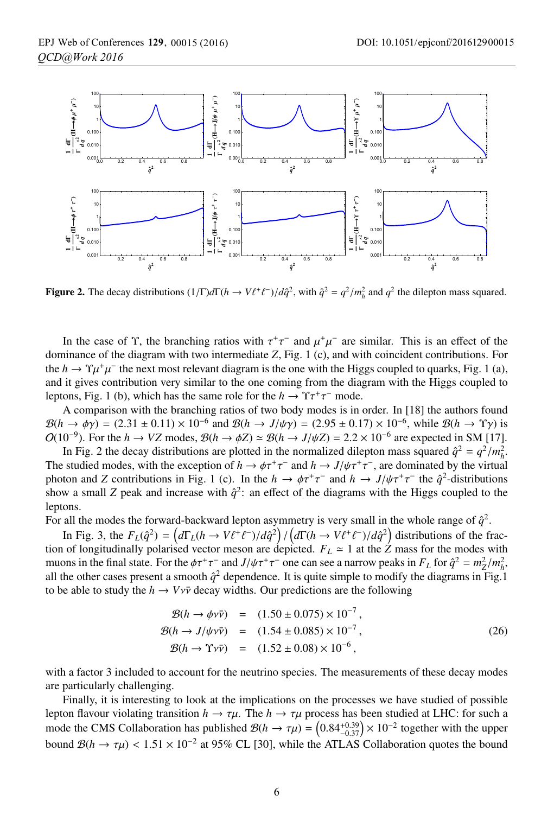

Figure 2. The decay distributions  $(1/\Gamma)d\Gamma(h \to V\ell^+\ell^-)/d\hat{q}^2$ , with  $\hat{q}^2 = q^2/m_h^2$  and  $q^2$  the dilepton mass squared.

In the case of  $\Upsilon$ , the branching ratios with  $\tau^+\tau^-$  and  $\mu^+\mu^-$  are similar. This is an effect of the dominance of the diagram with two intermediate *Z*, Fig. 1 (c), and with coincident contributions. For the  $h \to \gamma \mu^+ \mu^-$  the next most relevant diagram is the one with the Higgs coupled to quarks, Fig. 1 (a), and it gives contribution very similar to the one coming from the diagram with the Higgs coupled to leptons, Fig. 1 (b), which has the same role for the  $h \to \Upsilon \tau^+ \tau^-$  mode.

A comparison with the branching ratios of two body modes is in order. In [18] the authors found  $\mathcal{B}(h \to \phi \gamma) = (2.31 \pm 0.11) \times 10^{-6}$  and  $\mathcal{B}(h \to J/\psi \gamma) = (2.95 \pm 0.17) \times 10^{-6}$ , while  $\mathcal{B}(h \to \gamma \gamma)$  is  $O(10^{-9})$ . For the *h* → *VZ* modes,  $\mathcal{B}(h \to \phi Z) \simeq \mathcal{B}(h \to J/\psi Z) = 2.2 \times 10^{-6}$  are expected in SM [17].

In Fig. 2 the decay distributions are plotted in the normalized dilepton mass squared  $\hat{q}^2 = q^2/m_h^2$ .<br>
a studied modes, with the exception of  $h \to dr^+ \tau^-$  and  $h \to I/\psi \tau^+ \tau^-$  are dominated by the virtual The studied modes, with the exception of  $h \to \phi \tau^+ \tau^-$  and  $h \to J/\psi \tau^+ \tau^-$ , are dominated by the virtual photon and *Z* contributions in Fig. 1 (c). In the  $h \to \phi \tau^+ \tau^-$  and  $h \to J/\psi \tau^+ \tau^-$  the  $\hat{q}^2$ -distributions show a small *Z* peak and increase with  $\hat{q}^2$ : an effect of the diagrams with the Higgs coupled to the leptons.

For all the modes the forward-backward lepton asymmetry is very small in the whole range of  $\hat{q}^2$ .

In Fig. 3, the  $F_L(\hat{q}^2) = (d\Gamma_L(h \to V\ell^+\ell^-)/d\hat{q}^2) / (d\Gamma(h \to V\ell^+\ell^-)/d\hat{q}^2)$  distributions of the frac-<br>of longitudinally polarised vector meson are depicted  $F_L \approx 1$  at the Z mass for the modes with tion of longitudinally polarised vector meson are depicted.  $F_L \approx 1$  at the *Z* mass for the modes with muons in the final state. For the  $\phi \tau^+ \tau^-$  and  $J/\psi \tau^+ \tau^-$  one can see a narrow peaks in  $F_L$  for  $\hat{q}^2 = m_Z^2/m_h^2$ , all the other cases present a smooth  $\hat{\sigma}^2$  dependence. It is quite simple to modify the diagram all the other cases present a smooth  $\hat{q}^2$  dependence. It is quite simple to modify the diagrams in Fig.1 to be able to study the  $h \to Vv\bar{v}$  decay widths. Our predictions are the following

$$
\mathcal{B}(h \to \phi v \bar{v}) = (1.50 \pm 0.075) \times 10^{-7}, \n\mathcal{B}(h \to J/\psi v \bar{v}) = (1.54 \pm 0.085) \times 10^{-7}, \n\mathcal{B}(h \to \Upsilon v \bar{v}) = (1.52 \pm 0.08) \times 10^{-6},
$$
\n(26)

with a factor 3 included to account for the neutrino species. The measurements of these decay modes are particularly challenging.

Finally, it is interesting to look at the implications on the processes we have studied of possible lepton flavour violating transition  $h \to \tau \mu$ . The  $h \to \tau \mu$  process has been studied at LHC: for such a mode the CMS Collaboration has published  $\mathcal{B}(h \to \tau\mu) = \left(0.84^{+0.39}_{-0.37}\right) \times 10^{-2}$  together with the upper<br>hound  $\mathcal{B}(h \to \tau\mu) \le 1.51 \times 10^{-2}$  at 05%. CL [20] while the ATLAS Collaboration guates the hound bound  $\mathcal{B}(h \to \tau \mu) < 1.51 \times 10^{-2}$  at 95% CL [30], while the ATLAS Collaboration quotes the bound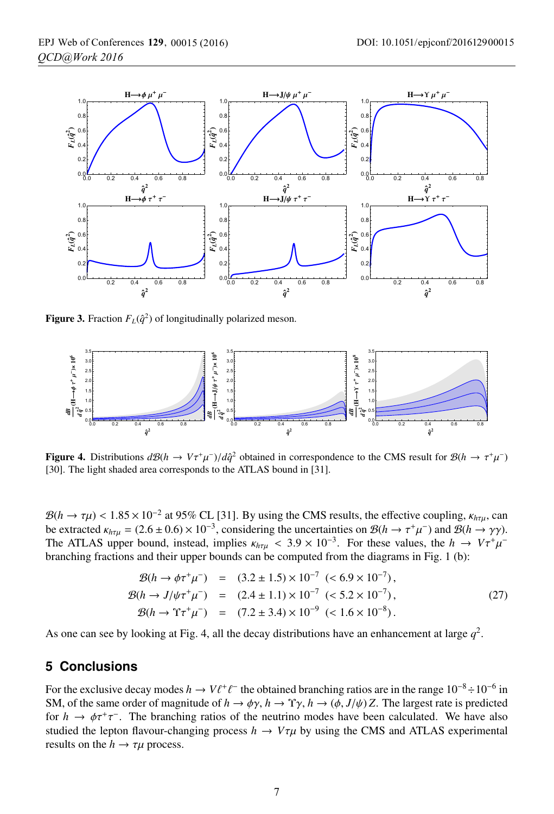

**Figure 3.** Fraction  $F<sub>L</sub>(\hat{q}^2)$  of longitudinally polarized meson.



Figure 4. Distributions  $d\mathcal{B}(h \to V\tau^+\mu^-)/d\hat{q}^2$  obtained in correspondence to the CMS result for  $\mathcal{B}(h \to \tau^+\mu^-)$ [30]. The light shaded area corresponds to the ATLAS bound in [31].

 $B(h \to \tau \mu) < 1.85 \times 10^{-2}$  at 95% CL [31]. By using the CMS results, the effective coupling,  $\kappa_{h\tau\mu}$ , can be extracted  $\kappa_{h\tau\mu} = (2.6 \pm 0.6) \times 10^{-3}$ , considering the uncertainties on  $\mathcal{B}(h \to \tau^+\mu^-)$  and  $\mathcal{B}(h \to \gamma\gamma)$ . The ATLAS upper bound, instead, implies  $\kappa_{h\tau\mu}$  < 3.9 × 10<sup>-3</sup>. For these values, the *h* →  $V\tau^+\mu^$ branching fractions and their upper bounds can be computed from the diagrams in Fig. 1 (b):

$$
\mathcal{B}(h \to \phi \tau^+ \mu^-) = (3.2 \pm 1.5) \times 10^{-7} \ (\le 6.9 \times 10^{-7}), \n\mathcal{B}(h \to J/\psi \tau^+ \mu^-) = (2.4 \pm 1.1) \times 10^{-7} \ (\le 5.2 \times 10^{-7}), \n\mathcal{B}(h \to \Upsilon \tau^+ \mu^-) = (7.2 \pm 3.4) \times 10^{-9} \ (\le 1.6 \times 10^{-8}).
$$
\n(27)

As one can see by looking at Fig. 4, all the decay distributions have an enhancement at large  $q^2$ .

## **5 Conclusions**

For the exclusive decay modes  $h \to V\ell^+\ell^-$  the obtained branching ratios are in the range  $10^{-8} \div 10^{-6}$  in<br>SM, of the same order of magnitude of  $h \to \infty$ ,  $h \to \infty$ ,  $h \to (\phi, L/\psi)Z$ . The largest rate is predicted SM, of the same order of magnitude of  $h \to \phi \gamma$ ,  $h \to \gamma \gamma$ ,  $h \to (\phi, J/\psi)Z$ . The largest rate is predicted<br>for  $h \to \phi \tau^+ \tau^-$ . The branching ratios of the neutrino modes have been calculated. We have also for  $h \to \phi \tau^+ \tau^-$ . The branching ratios of the neutrino modes have been calculated. We have also studied the lepton flavour-changing process  $h \to V \tau \mu$  by using the CMS and ATLAS experimental results on the  $h \to \tau \mu$  process.